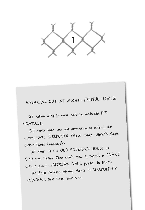

SNEAKING OUT AT NIGHT — HELPFUL HINTS:

(i) When lying to <sup>y</sup>our parents, maintain EYE CONTACT.

(ii) Make sure <sup>y</sup>ou ask <sup>p</sup>ermission to attend the correct FAKE SLEEPOVER. (Boys - Stan Winter's place. Girls — Karen Lobodzic's)

(iii) Meet at the OLD ROCKFORD HOUSE at 8:30 p.m. Friday. (You can't miss it; there's a CRANE with a giant WRECKING BALL parked in front.)

(iv) Enter throug<sup>h</sup> missing <sup>p</sup>lanks in BOARDED-UP WINDOW, first floor, east side.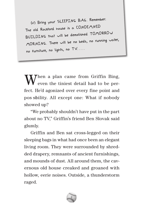The old Rockford house is a CONDEMNED ....<br>BUILDI*N*G that will be demolished TOMORROW MORNING. There will be no beds, no running water, (v) Bring <sup>y</sup>our SLEEPING BAG. Remember: (v) Bring your SLEEPING BAG. Remember: no furniture, no lights, no  $\mathsf{TV} \dots$ 

 $\mathbf{W}^\text{hen a plan came from Griffith Bing,}$  even the tiniest detail had to be perfect. He'd agonized over every fine point and pos sbility. All except one: What if nobody showed up?

"We probably shouldn't have put in the part about no TV," Griffin's friend Ben Slovak said glumly. gluml

Griffin and Ben sat cross-legged on their sleeping bags in what had once been an elegant living room. They were surrounded by shredded drapery, remnants of ancient furnishings, and mounds of dust. All around them, the cavernous old house creaked and groaned with hollow, eerie noises. Outside, a thunderstorm raged.

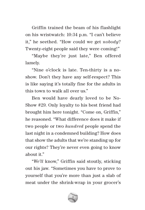Griffin trained the beam of his flashlight on his wristwatch: 10:34 p.m. "I can't believe it," he seethed. "How could we get *nobody*? Twenty-eight people said they were coming!"

"Maybe they're just late," Ben offered lamely.

"Nine o'clock is late. Ten-thirty is a noshow. Don't they have any self-respect? This is like saying it's totally fine for the adults in this town to walk all over us."

Ben would have dearly loved to be No-Show #29. Only loyalty to his best friend had brought him here tonight. "Come on, Griffin," he reasoned. "What difference does it make if two people or two *hundred* people spend the last night in a condemned building? How does that show the adults that we're standing up for our rights? They're never even going to know about it."

"*We'll* know," Griffin said stoutly, sticking out his jaw. "Sometimes you have to prove to yourself that you're more than just a slab of meat under the shrink-wrap in your grocer's

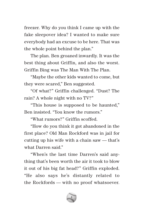freezer. Why do you think I came up with the fake sleepover idea? I wanted to make sure everybody had an excuse to be here. That was the whole point behind the plan."

The plan. Ben groaned inwardly. It was the best thing about Griffin, and also the worst. Griffin Bing was The Man With The Plan.

"Maybe the other kids wanted to come, but they were scared," Ben suggested.

"Of what?" Griffin challenged. "Dust? The rain? A whole night with no TV?"

"This house is supposed to be haunted," Ben insisted. "You know the rumors."

"What rumors?" Griffin scoffed.

"How do you think it got abandoned in the first place? Old Man Rockford was in jail for cutting up his wife with a chain saw — that's what Darren said."

"When's the last time Darren's said anything that's been worth the air it took to blow it out of his big fat head?" Griffin exploded. "He also says he's distantly related to the Rockfords — with no proof whatsoever.

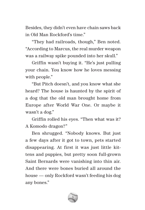Besides, they didn't even have chain saws back in Old Man Rockford's time."

"They had railroads, though," Ben noted. "According to Marcus, the real murder weapon was a railway spike pounded into her skull."

Griffin wasn't buying it. "He's just pulling your chain. You know how he loves messing with people."

"But Pitch doesn't, and you know what she heard? The house is haunted by the spirit of a dog that the old man brought home from Europe after World War One. Or maybe it wasn't a dog."

Griffin rolled his eyes. "Then what was it? A Komodo dragon?"

Ben shrugged. "Nobody knows. But just a few days after it got to town, pets started disappearing. At first it was just little kittens and puppies, but pretty soon full-grown Saint Bernards were vanishing into thin air. And there were bones buried all around the house — only Rockford wasn't feeding his dog any bones."

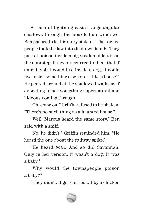A flash of lightning cast strange angular shadows through the boarded-up windows. Ben paused to let his story sink in. "The townspeople took the law into their own hands. They put rat poison inside a big steak and left it on the doorstep. It never occurred to them that if an evil spirit could live inside a dog, it could live inside something else, too — like a house!" He peered around at the shadowed walls, as if expecting to see something supernatural and hideous coming through.

"Oh, come on!" Griffin refused to be shaken. "There's no such thing as a haunted house."

"Well, Marcus heard the same story," Ben said with a sniff.

"No, he didn't," Griffin reminded him. "He heard the one about the railway spike."

"He heard *both*. And so did Savannah. Only in her version, it wasn't a dog. It was a baby."

"Why would the townspeople poison a baby?"

"They didn't. It got carried off by a chicken

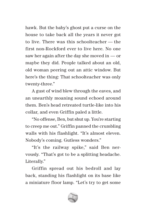hawk. But the baby's ghost put a curse on the house to take back all the years it never got to live. There was this schoolteacher — the first non-Rockford ever to live here. No one saw her again after the day she moved in — or maybe they did. People talked about an old, old woman peering out an attic window. But here's the thing: That schoolteacher was only twenty-three."

A gust of wind blew through the eaves, and an unearthly moaning sound echoed around them. Ben's head retreated turtle-like into his collar, and even Griffin paled a little.

"No offense, Ben, but shut up. You're starting to creep me out." Griffin panned the crumbling walls with his flashlight. "It's almost eleven. Nobody's coming. Gutless wonders."

"It's the railway spike," said Ben nervously. "That's got to be a splitting headache. Literally."

Griffin spread out his bedroll and lay back, standing his flashlight on its base like a miniature floor lamp. "Let's try to get some

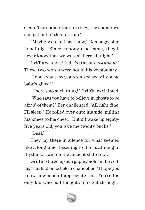sleep. The sooner the sun rises, the sooner we can get out of this rat trap."

"Maybe we can leave now," Ben suggested hopefully. "Since nobody else came, they'll never know that we weren't here all night."

Griffin was horrified. "You mean *back down*?" These two words were not in his vocabulary.

"I don't want my years sucked away by some baby's ghost!"

"There's no such thing!" Griffin exclaimed.

"Who says you have to believe in ghosts to be afraid of them?" Ben challenged. "All right, fine. I'll sleep." He rolled over onto his side, pulling his knees to his chest. "But if I wake up eightyfive years old, you owe me twenty bucks."

"Deal."

They lay there in silence for what seemed like a long time, listening to the machine-gun rhythm of rain on the ancient slate roof.

Griffin stared up at a gaping hole in the ceiling that had once held a chandelier. "I hope you know how much I appreciate this. You're the only kid who had the guts to see it through."